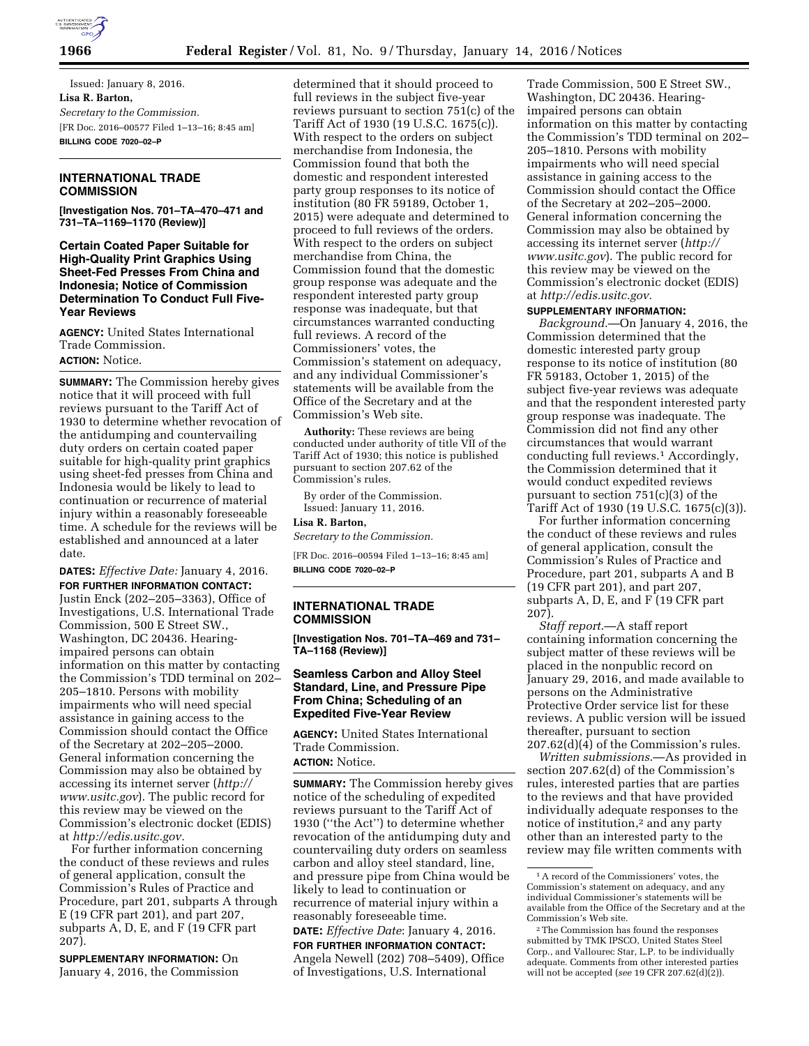

Issued: January 8, 2016. **Lisa R. Barton,**  *Secretary to the Commission.*  [FR Doc. 2016–00577 Filed 1–13–16; 8:45 am] **BILLING CODE 7020–02–P** 

## **INTERNATIONAL TRADE COMMISSION**

**[Investigation Nos. 701–TA–470–471 and 731–TA–1169–1170 (Review)]** 

**Certain Coated Paper Suitable for High-Quality Print Graphics Using Sheet-Fed Presses From China and Indonesia; Notice of Commission Determination To Conduct Full Five-Year Reviews** 

**AGENCY:** United States International Trade Commission. **ACTION:** Notice.

**SUMMARY:** The Commission hereby gives notice that it will proceed with full reviews pursuant to the Tariff Act of 1930 to determine whether revocation of the antidumping and countervailing duty orders on certain coated paper suitable for high-quality print graphics using sheet-fed presses from China and Indonesia would be likely to lead to continuation or recurrence of material injury within a reasonably foreseeable time. A schedule for the reviews will be established and announced at a later date.

**DATES:** *Effective Date:* January 4, 2016. **FOR FURTHER INFORMATION CONTACT:**  Justin Enck (202–205–3363), Office of Investigations, U.S. International Trade Commission, 500 E Street SW., Washington, DC 20436. Hearingimpaired persons can obtain information on this matter by contacting the Commission's TDD terminal on 202– 205–1810. Persons with mobility impairments who will need special assistance in gaining access to the Commission should contact the Office of the Secretary at 202–205–2000. General information concerning the Commission may also be obtained by accessing its internet server (*[http://](http://www.usitc.gov) [www.usitc.gov](http://www.usitc.gov)*). The public record for this review may be viewed on the Commission's electronic docket (EDIS) at *[http://edis.usitc.gov.](http://edis.usitc.gov)* 

For further information concerning the conduct of these reviews and rules of general application, consult the Commission's Rules of Practice and Procedure, part 201, subparts A through E (19 CFR part 201), and part 207, subparts A, D, E, and F (19 CFR part 207).

**SUPPLEMENTARY INFORMATION:** On January 4, 2016, the Commission

determined that it should proceed to full reviews in the subject five-year reviews pursuant to section 751(c) of the Tariff Act of 1930 (19 U.S.C. 1675(c)). With respect to the orders on subject merchandise from Indonesia, the Commission found that both the domestic and respondent interested party group responses to its notice of institution (80 FR 59189, October 1, 2015) were adequate and determined to proceed to full reviews of the orders. With respect to the orders on subject merchandise from China, the Commission found that the domestic group response was adequate and the respondent interested party group response was inadequate, but that circumstances warranted conducting full reviews. A record of the Commissioners' votes, the Commission's statement on adequacy, and any individual Commissioner's statements will be available from the Office of the Secretary and at the Commission's Web site.

**Authority:** These reviews are being conducted under authority of title VII of the Tariff Act of 1930; this notice is published pursuant to section 207.62 of the Commission's rules.

By order of the Commission. Issued: January 11, 2016.

#### **Lisa R. Barton,**

*Secretary to the Commission.* 

[FR Doc. 2016–00594 Filed 1–13–16; 8:45 am] **BILLING CODE 7020–02–P** 

### **INTERNATIONAL TRADE COMMISSION**

**[Investigation Nos. 701–TA–469 and 731– TA–1168 (Review)]** 

### **Seamless Carbon and Alloy Steel Standard, Line, and Pressure Pipe From China; Scheduling of an Expedited Five-Year Review**

**AGENCY:** United States International Trade Commission. **ACTION:** Notice.

**SUMMARY:** The Commission hereby gives notice of the scheduling of expedited reviews pursuant to the Tariff Act of 1930 (''the Act'') to determine whether revocation of the antidumping duty and countervailing duty orders on seamless carbon and alloy steel standard, line, and pressure pipe from China would be likely to lead to continuation or recurrence of material injury within a reasonably foreseeable time.

**DATE:** *Effective Date*: January 4, 2016. **FOR FURTHER INFORMATION CONTACT:**  Angela Newell (202) 708–5409), Office of Investigations, U.S. International

Trade Commission, 500 E Street SW., Washington, DC 20436. Hearingimpaired persons can obtain information on this matter by contacting the Commission's TDD terminal on 202– 205–1810. Persons with mobility impairments who will need special assistance in gaining access to the Commission should contact the Office of the Secretary at 202–205–2000. General information concerning the Commission may also be obtained by accessing its internet server (*[http://](http://www.usitc.gov)  [www.usitc.gov](http://www.usitc.gov)*). The public record for this review may be viewed on the Commission's electronic docket (EDIS) at *[http://edis.usitc.gov.](http://edis.usitc.gov)* 

#### **SUPPLEMENTARY INFORMATION:**

*Background*.—On January 4, 2016, the Commission determined that the domestic interested party group response to its notice of institution (80 FR 59183, October 1, 2015) of the subject five-year reviews was adequate and that the respondent interested party group response was inadequate. The Commission did not find any other circumstances that would warrant conducting full reviews.1 Accordingly, the Commission determined that it would conduct expedited reviews pursuant to section 751(c)(3) of the Tariff Act of 1930 (19 U.S.C. 1675(c)(3)).

For further information concerning the conduct of these reviews and rules of general application, consult the Commission's Rules of Practice and Procedure, part 201, subparts A and B (19 CFR part 201), and part 207, subparts A, D, E, and F (19 CFR part 207).

*Staff report*.—A staff report containing information concerning the subject matter of these reviews will be placed in the nonpublic record on January 29, 2016, and made available to persons on the Administrative Protective Order service list for these reviews. A public version will be issued thereafter, pursuant to section 207.62(d)(4) of the Commission's rules.

*Written submissions*.—As provided in section 207.62(d) of the Commission's rules, interested parties that are parties to the reviews and that have provided individually adequate responses to the notice of institution,<sup>2</sup> and any party other than an interested party to the review may file written comments with

<sup>1</sup>A record of the Commissioners' votes, the Commission's statement on adequacy, and any individual Commissioner's statements will be available from the Office of the Secretary and at the Commission's Web site.

<sup>2</sup>The Commission has found the responses submitted by TMK IPSCO, United States Steel Corp., and Vallourec Star, L.P. to be individually adequate. Comments from other interested parties will not be accepted (*see* 19 CFR 207.62(d)(2)).